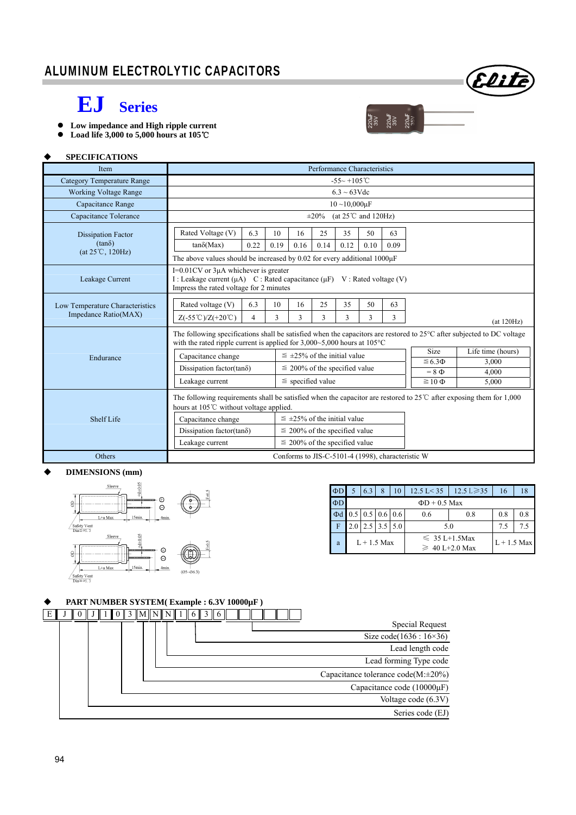

 $\frac{220 \text{hF}}{35 \text{V}}$ <br> $\frac{220 \text{hF}}{35 \text{V}}$ <br> $\frac{220 \text{hF}}{35 \text{V}}$ 

## **EJ Series**

- Low impedance and High ripple current<br>● Load life 3,000 to 5,000 hours at 105℃
- **Load life 3,000 to 5,000 hours at 105**℃

## **SPECIFICATIONS**

| <b>Item</b>                                                             | Performance Characteristics                                                                                                                                                                                                                                                                                                                                              |                                                                                                                                                                             |                                    |                       |  |  |  |                              |                   |  |
|-------------------------------------------------------------------------|--------------------------------------------------------------------------------------------------------------------------------------------------------------------------------------------------------------------------------------------------------------------------------------------------------------------------------------------------------------------------|-----------------------------------------------------------------------------------------------------------------------------------------------------------------------------|------------------------------------|-----------------------|--|--|--|------------------------------|-------------------|--|
| <b>Category Temperature Range</b>                                       | $-55 - +105$ °C                                                                                                                                                                                                                                                                                                                                                          |                                                                                                                                                                             |                                    |                       |  |  |  |                              |                   |  |
| <b>Working Voltage Range</b>                                            | $6.3 \sim 63 \text{V}$ dc                                                                                                                                                                                                                                                                                                                                                |                                                                                                                                                                             |                                    |                       |  |  |  |                              |                   |  |
| Capacitance Range                                                       | $10 - 10,000 \mu F$                                                                                                                                                                                                                                                                                                                                                      |                                                                                                                                                                             |                                    |                       |  |  |  |                              |                   |  |
| Capacitance Tolerance                                                   | (at $25^{\circ}$ C and $120\text{Hz}$ )<br>$\pm 20\%$                                                                                                                                                                                                                                                                                                                    |                                                                                                                                                                             |                                    |                       |  |  |  |                              |                   |  |
| <b>Dissipation Factor</b><br>$(tan\delta)$<br>$(at 25^{\circ}C, 120Hz)$ | Rated Voltage (V)<br>$tan\delta(Max)$                                                                                                                                                                                                                                                                                                                                    | 6.3<br>25<br>35<br>50<br>63<br>10<br>16<br>0.22<br>0.19<br>0.16<br>0.14<br>0.12<br>0.10<br>0.09<br>The above values should be increased by 0.02 for every additional 1000µF |                                    |                       |  |  |  |                              |                   |  |
| Leakage Current                                                         | $I=0.01$ CV or $3\mu A$ whichever is greater<br>I : Leakage current (µA) C : Rated capacitance (µF) V : Rated voltage (V)<br>Impress the rated voltage for 2 minutes                                                                                                                                                                                                     |                                                                                                                                                                             |                                    |                       |  |  |  |                              |                   |  |
| Low Temperature Characteristics<br>Impedance Ratio(MAX)                 | Rated voltage (V)<br>25<br>35<br>50<br>63<br>6.3<br>10<br>16<br>3<br>$Z(-55^{\circ}\text{C})/Z(+20^{\circ}\text{C})$<br>$\overline{4}$<br>3<br>3<br>3<br>3<br>3<br>(at 120Hz)                                                                                                                                                                                            |                                                                                                                                                                             |                                    |                       |  |  |  |                              |                   |  |
|                                                                         | The following specifications shall be satisfied when the capacitors are restored to $25^{\circ}$ C after subjected to DC voltage<br>with the rated ripple current is applied for $3,000~5,000$ hours at $105°C$                                                                                                                                                          |                                                                                                                                                                             |                                    |                       |  |  |  |                              |                   |  |
| Endurance                                                               | Capacitance change                                                                                                                                                                                                                                                                                                                                                       |                                                                                                                                                                             | $\leq$ ±25% of the initial value   |                       |  |  |  | Size                         | Life time (hours) |  |
|                                                                         | Dissipation factor(tan $\delta$ )                                                                                                                                                                                                                                                                                                                                        |                                                                                                                                                                             | $\leq$ 200% of the specified value |                       |  |  |  | $\leq 6.3 \Phi$              | 3,000             |  |
|                                                                         | Leakage current                                                                                                                                                                                                                                                                                                                                                          |                                                                                                                                                                             |                                    | $\le$ specified value |  |  |  | $= 8 \Phi$<br>$\geq 10 \Phi$ | 4.000<br>5,000    |  |
| <b>Shelf Life</b>                                                       | The following requirements shall be satisfied when the capacitor are restored to $25^{\circ}$ after exposing them for 1,000<br>hours at 105°C without voltage applied.<br>$\leq \pm 25\%$ of the initial value<br>Capacitance change<br>Dissipation factor(tan $\delta$ )<br>$\leq$ 200% of the specified value<br>$\leq$ 200% of the specified value<br>Leakage current |                                                                                                                                                                             |                                    |                       |  |  |  |                              |                   |  |
| Others                                                                  | Conforms to JIS-C-5101-4 (1998), characteristic W                                                                                                                                                                                                                                                                                                                        |                                                                                                                                                                             |                                    |                       |  |  |  |                              |                   |  |

#### **DIMENSIONS (mm)**



| $\Phi D$ |                    | 6.3                                       | 8                 | 10 | $12.5 \text{ L} < 35$ | $12.5 \text{ L} \geq 35$                  | 16  | 18            |  |  |
|----------|--------------------|-------------------------------------------|-------------------|----|-----------------------|-------------------------------------------|-----|---------------|--|--|
| $\Phi$ D | $\Phi$ D + 0.5 Max |                                           |                   |    |                       |                                           |     |               |  |  |
| $\Phi$ d |                    | $0.5 \,   \, 0.5 \,   \, 0.6 \,   \, 0.6$ |                   |    | 0.6                   | 0.8                                       | 0.8 |               |  |  |
| F        |                    |                                           | $2.5$   3.5   5.0 |    | 5.0                   | 7.5                                       |     |               |  |  |
| a        | $L + 1.5$ Max      |                                           |                   |    |                       | $\leq 35$ L+1.5Max<br>$\geq 40$ L+2.0 Max |     | $L + 1.5$ Max |  |  |

## **PART NUMBER SYSTEM( Example : 6.3V 10000µF )**

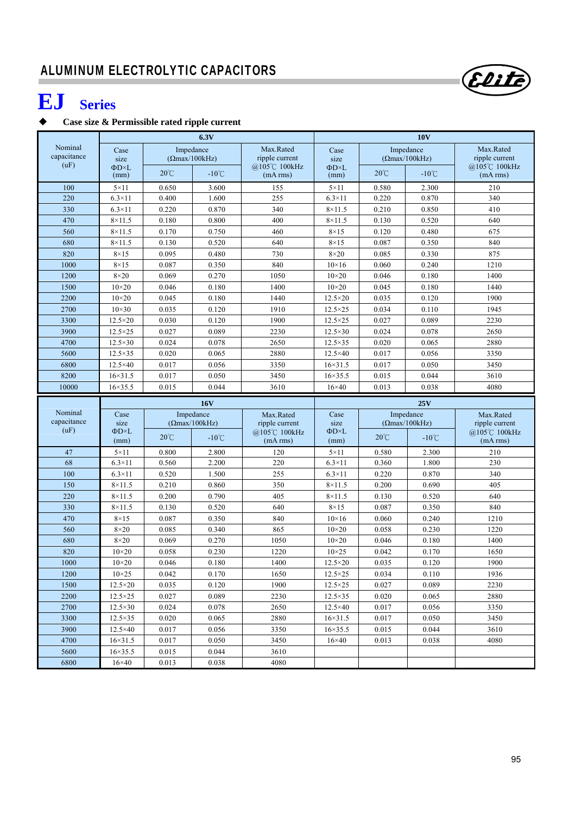# **EJ Series**

## **Case size & Permissible rated ripple current**

|                     |                                  |                | 6.3V                   |                          | <b>10V</b>                  |                |                        |                          |  |
|---------------------|----------------------------------|----------------|------------------------|--------------------------|-----------------------------|----------------|------------------------|--------------------------|--|
| Nominal             | Case                             |                | Impedance              | Max.Rated                | Case                        |                | Impedance              | Max.Rated                |  |
| capacitance<br>(uF) | size                             |                | $(\Omega$ max/100kHz)  | ripple current           | size                        |                | $( \Omega$ max/100kHz) | ripple current           |  |
|                     | $\Phi$ D $\times$ L<br>(mm)      | $20^{\circ}$ C | $-10^{\circ}$ C        | @105℃ 100kHz<br>(mA rms) | $\Phi$ D $\times$ L<br>(mm) | $20^{\circ}$ C | $-10^{\circ}$ C        | @105℃ 100kHz<br>(mA rms) |  |
| 100                 | $5 \times 11$                    | 0.650          | 3.600                  | 155                      | $5 \times 11$               | 0.580          | 2.300                  | 210                      |  |
| 220                 | $6.3\times11$                    | 0.400          | 1.600                  | 255                      | $6.3\times11$               | 0.220          | 0.870                  | 340                      |  |
| 330                 | $6.3\times11$                    | 0.220          | 0.870                  | 340                      | $8 \times 11.5$             | 0.210          | 0.850                  | 410                      |  |
| 470                 | $8\times11.5$                    | 0.180          | 0.800                  | 400                      | $8\times11.5$               | 0.130          | 0.520                  | 640                      |  |
| 560                 | $8\times11.5$                    | 0.170          | 0.750                  | 460                      | $8\times15$                 | 0.120          | 0.480                  | 675                      |  |
| 680                 | $8 \times 11.5$                  | 0.130          | 0.520                  | 640                      | $8\times15$                 | 0.087          | 0.350                  | 840                      |  |
| 820                 | $8\times15$                      | 0.095          | 0.480                  | 730                      | $8\times20$                 | 0.085          | 0.330                  | 875                      |  |
| 1000                | $8\times15$                      | 0.087          | 0.350                  | 840                      | $10\times 16$               | 0.060          | 0.240                  | 1210                     |  |
| 1200                | $8\times20$                      | 0.069          | 0.270                  | 1050                     | $10\times 20$               | 0.046          | 0.180                  | 1400                     |  |
| 1500                | $10\times20$                     | 0.046          | 0.180                  | 1400                     | $10\times 20$               | 0.045          | 0.180                  | 1440                     |  |
| 2200                | $10\times20$                     | 0.045          | 0.180                  | 1440                     | $12.5 \times 20$            | 0.035          | 0.120                  | 1900                     |  |
| 2700                | $10\times30$                     | 0.035          | 0.120                  | 1910                     | $12.5 \times 25$            | 0.034          | 0.110                  | 1945                     |  |
| 3300                | $12.5 \times 20$                 | 0.030          | 0.120                  | 1900                     | $12.5 \times 25$            | 0.027          | 0.089                  | 2230                     |  |
| 3900                | $12.5 \times 25$                 | 0.027          | 0.089                  | 2230                     | $12.5 \times 30$            | 0.024          | 0.078                  | 2650                     |  |
| 4700                | $12.5 \times 30$                 | 0.024          | 0.078                  | 2650                     | $12.5 \times 35$            | 0.020          | 0.065                  | 2880                     |  |
| 5600                | $12.5 \times 35$                 | 0.020          | 0.065                  | 2880                     | $12.5\times40$              | 0.017          | 0.056                  | 3350                     |  |
| 6800                | $12.5\times40$                   | 0.017          | 0.056                  | 3350                     | $16 \times 31.5$            | 0.017          | 0.050                  | 3450                     |  |
| 8200                | $16 \times 31.5$                 | 0.017          | 0.050                  | 3450                     | $16 \times 35.5$            | 0.015          | 0.044                  | 3610                     |  |
| 10000               | $16 \times 35.5$                 | 0.015          | 0.044                  | 3610                     | $16\times40$                | 0.013          | 0.038                  | 4080                     |  |
|                     |                                  | <b>16V</b>     |                        |                          |                             |                |                        |                          |  |
|                     |                                  |                |                        |                          |                             |                | 25V                    |                          |  |
| Nominal             | Case                             |                | Impedance              | Max.Rated                | Case                        |                | Impedance              | Max.Rated                |  |
| capacitance         | size                             |                | $( \Omega$ max/100kHz) | ripple current           | size                        |                | $(\Omega$ max/100kHz)  | ripple current           |  |
| (uF)                | $\Phi$ D×L<br>(mm)               | $20^{\circ}$ C | $-10^{\circ}$ C        | @105℃ 100kHz<br>(mA rms) | $\Phi$ D $\times$ L<br>(mm) | $20^{\circ}$ C | $-10^{\circ}$ C        | @105℃ 100kHz<br>(mA rms) |  |
| 47                  | $5 \times 11$                    | 0.800          | 2.800                  | 120                      | $5 \times 11$               | 0.580          | 2.300                  | 210                      |  |
| 68                  | $6.3\times11$                    | 0.560          | 2.200                  | 220                      | $6.3\times11$               | 0.360          | 1.800                  | 230                      |  |
| 100                 | $6.3\times11$                    | 0.520          | 1.500                  | 255                      | $6.3\times11$               | 0.220          | 0.870                  | 340                      |  |
| 150                 | $8 \times 11.5$                  | 0.210          | 0.860                  | 350                      | $8 \times 11.5$             | 0.200          | 0.690                  | 405                      |  |
| 220                 | $8\times11.5$                    | 0.200          | 0.790                  | 405                      | $8\times11.5$               | 0.130          | 0.520                  | 640                      |  |
| 330                 | $8\times11.5$                    | 0.130          | 0.520                  | 640                      | $8\times15$                 | 0.087          | 0.350                  | 840                      |  |
| 470                 | $8\times15$                      | 0.087          | 0.350                  | 840                      | $10\times16$                | 0.060          | 0.240                  | 1210                     |  |
| 560                 | $8\times20$                      | 0.085          | 0.340                  | 865                      | $10\times 20$               | 0.058          | 0.230                  | 1220                     |  |
| 680                 | $8\times20$                      | 0.069          | 0.270                  | 1050                     | $10\times20$                | 0.046          | 0.180                  | 1400                     |  |
| 820                 | $10\times20$                     | 0.058          | 0.230                  | 1220                     | $10\times25$                | 0.042          | 0.170                  | 1650                     |  |
| 1000                | $10\times20$                     | 0.046          | $0.180\,$              | 1400                     | $12.5\times20$              | 0.035          | 0.120                  | 1900                     |  |
| 1200                | $10\times25$                     | 0.042          | 0.170                  | 1650                     | $12.5 \times 25$            | 0.034          | 0.110                  | 1936                     |  |
| 1500                | $12.5 \times 20$                 | 0.035          | 0.120                  | 1900                     | $12.5 \times 25$            | 0.027          | 0.089                  | 2230                     |  |
| 2200                | $12.5 \times 25$                 | 0.027          | 0.089                  | 2230                     | $12.5 \times 35$            | 0.020          | 0.065                  | 2880                     |  |
| 2700                | $12.5 \times 30$                 | 0.024          | 0.078                  | 2650                     | $12.5 \times 40$            | 0.017          | 0.056                  | 3350                     |  |
| 3300                | $12.5\times35$                   | 0.020          | 0.065                  | 2880                     | $16 \times 31.5$            | 0.017          | 0.050                  | 3450                     |  |
| 3900                | $12.5\times40$                   | 0.017          | 0.056                  | 3350                     | $16 \times 35.5$            | 0.015          | 0.044                  | 3610                     |  |
| 4700                | $16 \times 31.5$                 | 0.017          | 0.050                  | 3450                     | $16\times 40$               | 0.013          | 0.038                  | 4080                     |  |
| 5600<br>6800        | $16 \times 35.5$<br>$16\times40$ | 0.015<br>0.013 | 0.044<br>0.038         | 3610<br>4080             |                             |                |                        |                          |  |

(Elite)